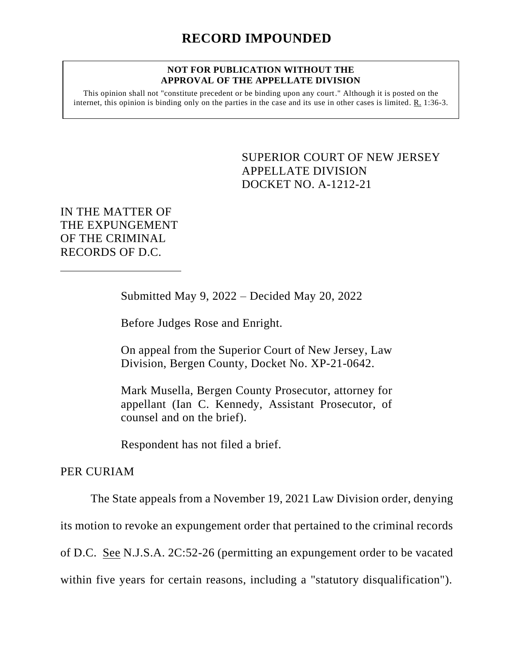## **NOT FOR PUBLICATION WITHOUT THE APPROVAL OF THE APPELLATE DIVISION**

This opinion shall not "constitute precedent or be binding upon any court." Although it is posted on the internet, this opinion is binding only on the parties in the case and its use in other cases is limited. R. 1:36-3.

> <span id="page-0-0"></span>SUPERIOR COURT OF NEW JERSEY APPELLATE DIVISION DOCKET NO. A-1212-21

IN THE MATTER OF THE EXPUNGEMENT OF THE CRIMINAL RECORDS OF D.C.

Submitted May 9, 2022 – Decided May 20, 2022

Before Judges Rose and Enright.

On appeal from the Superior Court of New Jersey, Law Division, Bergen County, Docket No. XP-21-0642.

Mark Musella, Bergen County Prosecutor, attorney for appellant (Ian C. Kennedy, Assistant Prosecutor, of counsel and on the brief).

Respondent has not filed a brief.

## PER CURIAM

The State appeals from a November 19, 2021 Law Division order, denying its motion to revoke an expungement order that pertained to the criminal records of D.C. See N.J.S.A. 2C:52-26 (permitting an expungement order to be vacated within five years for certain reasons, including a "statutory disqualification").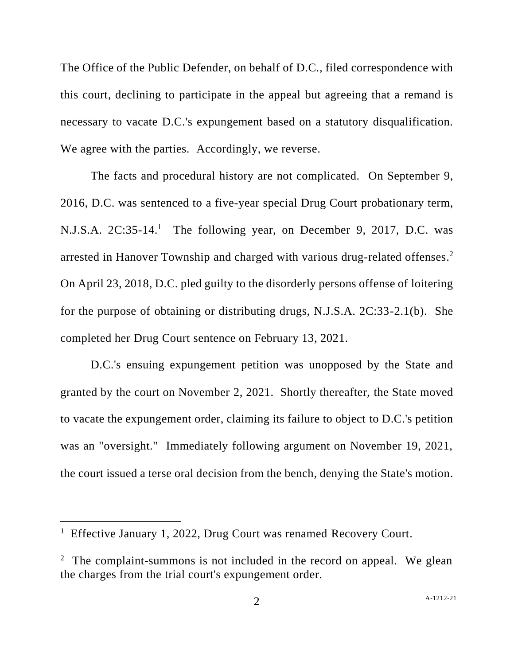The Office of the Public Defender, on behalf of D.C., filed correspondence with this court, declining to participate in the appeal but agreeing that a remand is necessary to vacate D.C.'s expungement based on a statutory disqualification. We agree with the parties. Accordingly, we reverse.

The facts and procedural history are not complicated. On September 9, 2016, D.C. was sentenced to a five-year special Drug Court probationary term, N.J.S.A. 2C:35-14.<sup>1</sup> The following year, on December 9, 2017, D.C. was arrested in Hanover Township and charged with various drug-related offenses. 2 On April 23, 2018, D.C. pled guilty to the disorderly persons offense of loitering for the purpose of obtaining or distributing drugs, N.J.S.A. 2C:33-2.1(b). She completed her Drug Court sentence on February 13, 2021.

D.C.'s ensuing expungement petition was unopposed by the State and granted by the court on November 2, 2021. Shortly thereafter, the State moved to vacate the expungement order, claiming its failure to object to D.C.'s petition was an "oversight." Immediately following argument on November 19, 2021, the court issued a terse oral decision from the bench, denying the State's motion.

<sup>&</sup>lt;sup>1</sup> Effective January 1, 2022, Drug Court was renamed Recovery Court.

 $2$  The complaint-summons is not included in the record on appeal. We glean the charges from the trial court's expungement order.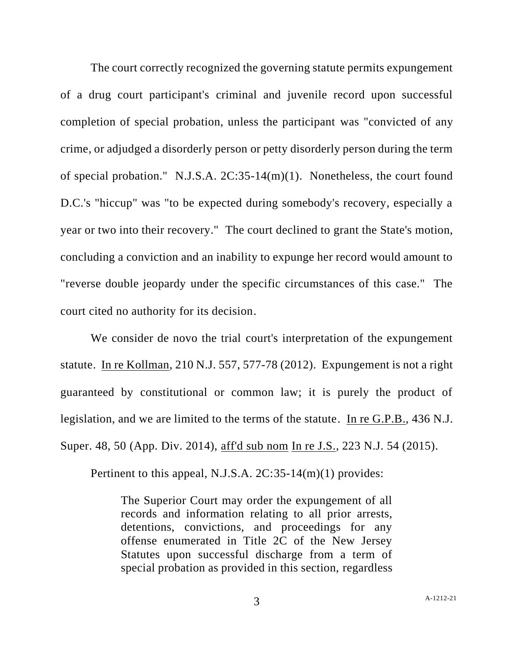The court correctly recognized the governing statute permits expungement of a drug court participant's criminal and juvenile record upon successful completion of special probation, unless the participant was "convicted of any crime, or adjudged a disorderly person or petty disorderly person during the term of special probation." N.J.S.A. 2C:35-14(m)(1). Nonetheless, the court found D.C.'s "hiccup" was "to be expected during somebody's recovery, especially a year or two into their recovery." The court declined to grant the State's motion, concluding a conviction and an inability to expunge her record would amount to "reverse double jeopardy under the specific circumstances of this case." The court cited no authority for its decision.

We consider de novo the trial court's interpretation of the expungement statute. In re Kollman, 210 N.J. 557, 577-78 (2012). Expungement is not a right guaranteed by constitutional or common law; it is purely the product of legislation, and we are limited to the terms of the statute. In re G.P.B., 436 N.J. Super. 48, 50 (App. Div. 2014), aff'd sub nom In re J.S., 223 N.J. 54 (2015).

Pertinent to this appeal, N.J.S.A. 2C:35-14(m)(1) provides:

The Superior Court may order the expungement of all records and information relating to all prior arrests, detentions, convictions, and proceedings for any offense enumerated in Title 2C of the New Jersey Statutes upon successful discharge from a term of special probation as provided in this section, regardless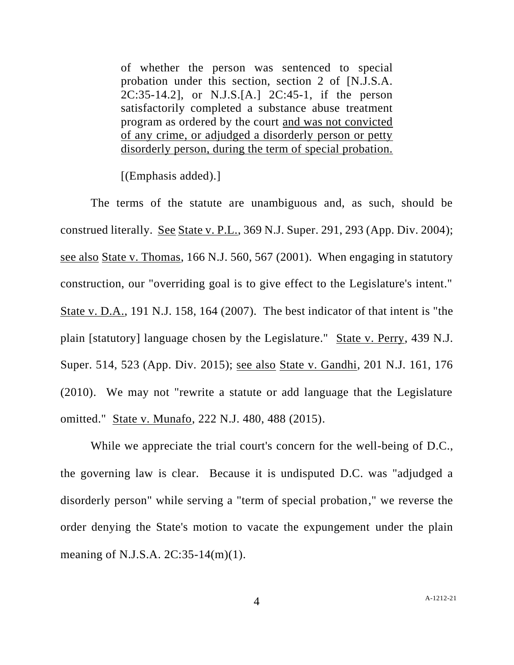of whether the person was sentenced to special probation under this section, section 2 of [N.J.S.A. 2C:35-14.2], or N.J.S.[A.] 2C:45-1, if the person satisfactorily completed a substance abuse treatment program as ordered by the court and was not convicted of any crime, or adjudged a disorderly person or petty disorderly person, during the term of special probation.

[(Emphasis added).]

The terms of the statute are unambiguous and, as such, should be construed literally. See State v. P.L., 369 N.J. Super. 291, 293 (App. Div. 2004); see also State v. Thomas, 166 N.J. 560, 567 (2001). When engaging in statutory construction, our "overriding goal is to give effect to the Legislature's intent." State v. D.A., 191 N.J. 158, 164 (2007). The best indicator of that intent is "the plain [statutory] language chosen by the Legislature." State v. Perry, 439 N.J. Super. 514, 523 (App. Div. 2015); see also State v. Gandhi, 201 N.J. 161, 176 (2010). We may not "rewrite a statute or add language that the Legislature omitted." State v. Munafo, 222 N.J. 480, 488 (2015).

While we appreciate the trial court's concern for the well-being of D.C., the governing law is clear. Because it is undisputed D.C. was "adjudged a disorderly person" while serving a "term of special probation," we reverse the order denying the State's motion to vacate the expungement under the plain meaning of N.J.S.A. 2C:35-14(m)(1).

4